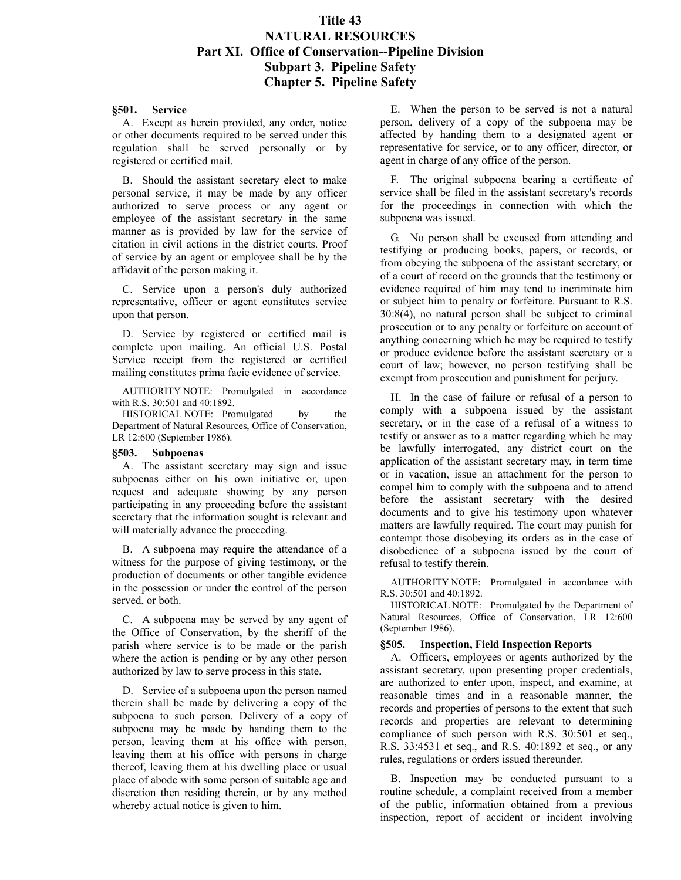# **Title 43 NATURAL RESOURCES Part XI. Office of Conservation--Pipeline Division Subpart 3. Pipeline Safety Chapter 5. Pipeline Safety**

#### **§501. Service**

A. Except as herein provided, any order, notice or other documents required to be served under this regulation shall be served personally or by registered or certified mail.

B. Should the assistant secretary elect to make personal service, it may be made by any officer authorized to serve process or any agent or employee of the assistant secretary in the same manner as is provided by law for the service of citation in civil actions in the district courts. Proof of service by an agent or employee shall be by the affidavit of the person making it.

C. Service upon a person's duly authorized representative, officer or agent constitutes service upon that person.

D. Service by registered or certified mail is complete upon mailing. An official U.S. Postal Service receipt from the registered or certified mailing constitutes prima facie evidence of service.

AUTHORITY NOTE: Promulgated in accordance with R.S. 30:501 and 40:1892.

HISTORICAL NOTE: Promulgated by the Department of Natural Resources, Office of Conservation, LR 12:600 (September 1986).

#### **§503. Subpoenas**

A. The assistant secretary may sign and issue subpoenas either on his own initiative or, upon request and adequate showing by any person participating in any proceeding before the assistant secretary that the information sought is relevant and will materially advance the proceeding.

B. A subpoena may require the attendance of a witness for the purpose of giving testimony, or the production of documents or other tangible evidence in the possession or under the control of the person served, or both.

C. A subpoena may be served by any agent of the Office of Conservation, by the sheriff of the parish where service is to be made or the parish where the action is pending or by any other person authorized by law to serve process in this state.

D. Service of a subpoena upon the person named therein shall be made by delivering a copy of the subpoena to such person. Delivery of a copy of subpoena may be made by handing them to the person, leaving them at his office with person, leaving them at his office with persons in charge thereof, leaving them at his dwelling place or usual place of abode with some person of suitable age and discretion then residing therein, or by any method whereby actual notice is given to him.

E. When the person to be served is not a natural person, delivery of a copy of the subpoena may be affected by handing them to a designated agent or representative for service, or to any officer, director, or agent in charge of any office of the person.

F. The original subpoena bearing a certificate of service shall be filed in the assistant secretary's records for the proceedings in connection with which the subpoena was issued.

G. No person shall be excused from attending and testifying or producing books, papers, or records, or from obeying the subpoena of the assistant secretary, or of a court of record on the grounds that the testimony or evidence required of him may tend to incriminate him or subject him to penalty or forfeiture. Pursuant to R.S. 30:8(4), no natural person shall be subject to criminal prosecution or to any penalty or forfeiture on account of anything concerning which he may be required to testify or produce evidence before the assistant secretary or a court of law; however, no person testifying shall be exempt from prosecution and punishment for perjury.

H. In the case of failure or refusal of a person to comply with a subpoena issued by the assistant secretary, or in the case of a refusal of a witness to testify or answer as to a matter regarding which he may be lawfully interrogated, any district court on the application of the assistant secretary may, in term time or in vacation, issue an attachment for the person to compel him to comply with the subpoena and to attend before the assistant secretary with the desired documents and to give his testimony upon whatever matters are lawfully required. The court may punish for contempt those disobeying its orders as in the case of disobedience of a subpoena issued by the court of refusal to testify therein.

AUTHORITY NOTE: Promulgated in accordance with R.S. 30:501 and 40:1892.

HISTORICAL NOTE: Promulgated by the Department of Natural Resources, Office of Conservation, LR 12:600 (September 1986).

### **§505. Inspection, Field Inspection Reports**

A. Officers, employees or agents authorized by the assistant secretary, upon presenting proper credentials, are authorized to enter upon, inspect, and examine, at reasonable times and in a reasonable manner, the records and properties of persons to the extent that such records and properties are relevant to determining compliance of such person with R.S. 30:501 et seq., R.S. 33:4531 et seq., and R.S. 40:1892 et seq., or any rules, regulations or orders issued thereunder.

B. Inspection may be conducted pursuant to a routine schedule, a complaint received from a member of the public, information obtained from a previous inspection, report of accident or incident involving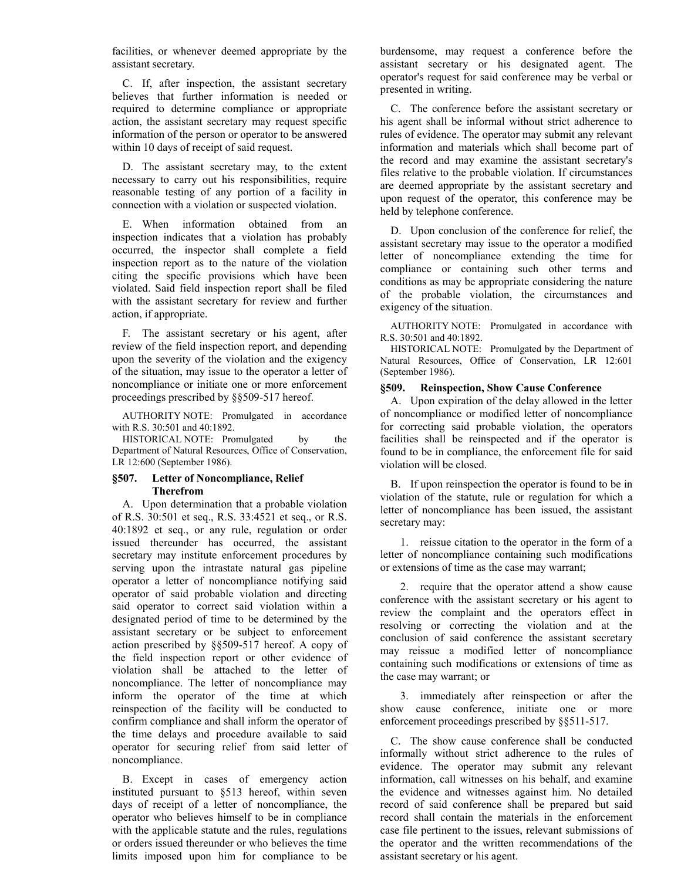facilities, or whenever deemed appropriate by the assistant secretary.

C. If, after inspection, the assistant secretary believes that further information is needed or required to determine compliance or appropriate action, the assistant secretary may request specific information of the person or operator to be answered within 10 days of receipt of said request.

D. The assistant secretary may, to the extent necessary to carry out his responsibilities, require reasonable testing of any portion of a facility in connection with a violation or suspected violation.

E. When information obtained from an inspection indicates that a violation has probably occurred, the inspector shall complete a field inspection report as to the nature of the violation citing the specific provisions which have been violated. Said field inspection report shall be filed with the assistant secretary for review and further action, if appropriate.

F. The assistant secretary or his agent, after review of the field inspection report, and depending upon the severity of the violation and the exigency of the situation, may issue to the operator a letter of noncompliance or initiate one or more enforcement proceedings prescribed by §§509-517 hereof.

AUTHORITY NOTE: Promulgated in accordance with R.S. 30:501 and 40:1892.

HISTORICAL NOTE: Promulgated by the Department of Natural Resources, Office of Conservation, LR 12:600 (September 1986).

# **§507. Letter of Noncompliance, Relief Therefrom**

A. Upon determination that a probable violation of R.S. 30:501 et seq., R.S. 33:4521 et seq., or R.S. 40:1892 et seq., or any rule, regulation or order issued thereunder has occurred, the assistant secretary may institute enforcement procedures by serving upon the intrastate natural gas pipeline operator a letter of noncompliance notifying said operator of said probable violation and directing said operator to correct said violation within a designated period of time to be determined by the assistant secretary or be subject to enforcement action prescribed by §§509-517 hereof. A copy of the field inspection report or other evidence of violation shall be attached to the letter of noncompliance. The letter of noncompliance may inform the operator of the time at which reinspection of the facility will be conducted to confirm compliance and shall inform the operator of the time delays and procedure available to said operator for securing relief from said letter of noncompliance.

B. Except in cases of emergency action instituted pursuant to §513 hereof, within seven days of receipt of a letter of noncompliance, the operator who believes himself to be in compliance with the applicable statute and the rules, regulations or orders issued thereunder or who believes the time limits imposed upon him for compliance to be burdensome, may request a conference before the assistant secretary or his designated agent. The operator's request for said conference may be verbal or presented in writing.

C. The conference before the assistant secretary or his agent shall be informal without strict adherence to rules of evidence. The operator may submit any relevant information and materials which shall become part of the record and may examine the assistant secretary's files relative to the probable violation. If circumstances are deemed appropriate by the assistant secretary and upon request of the operator, this conference may be held by telephone conference.

D. Upon conclusion of the conference for relief, the assistant secretary may issue to the operator a modified letter of noncompliance extending the time for compliance or containing such other terms and conditions as may be appropriate considering the nature of the probable violation, the circumstances and exigency of the situation.

AUTHORITY NOTE: Promulgated in accordance with R.S. 30:501 and 40:1892.

HISTORICAL NOTE: Promulgated by the Department of Natural Resources, Office of Conservation, LR 12:601 (September 1986).

# **§509. Reinspection, Show Cause Conference**

A. Upon expiration of the delay allowed in the letter of noncompliance or modified letter of noncompliance for correcting said probable violation, the operators facilities shall be reinspected and if the operator is found to be in compliance, the enforcement file for said violation will be closed.

B. If upon reinspection the operator is found to be in violation of the statute, rule or regulation for which a letter of noncompliance has been issued, the assistant secretary may:

1. reissue citation to the operator in the form of a letter of noncompliance containing such modifications or extensions of time as the case may warrant;

2. require that the operator attend a show cause conference with the assistant secretary or his agent to review the complaint and the operators effect in resolving or correcting the violation and at the conclusion of said conference the assistant secretary may reissue a modified letter of noncompliance containing such modifications or extensions of time as the case may warrant; or

3. immediately after reinspection or after the show cause conference, initiate one or more enforcement proceedings prescribed by §§511-517.

C. The show cause conference shall be conducted informally without strict adherence to the rules of evidence. The operator may submit any relevant information, call witnesses on his behalf, and examine the evidence and witnesses against him. No detailed record of said conference shall be prepared but said record shall contain the materials in the enforcement case file pertinent to the issues, relevant submissions of the operator and the written recommendations of the assistant secretary or his agent.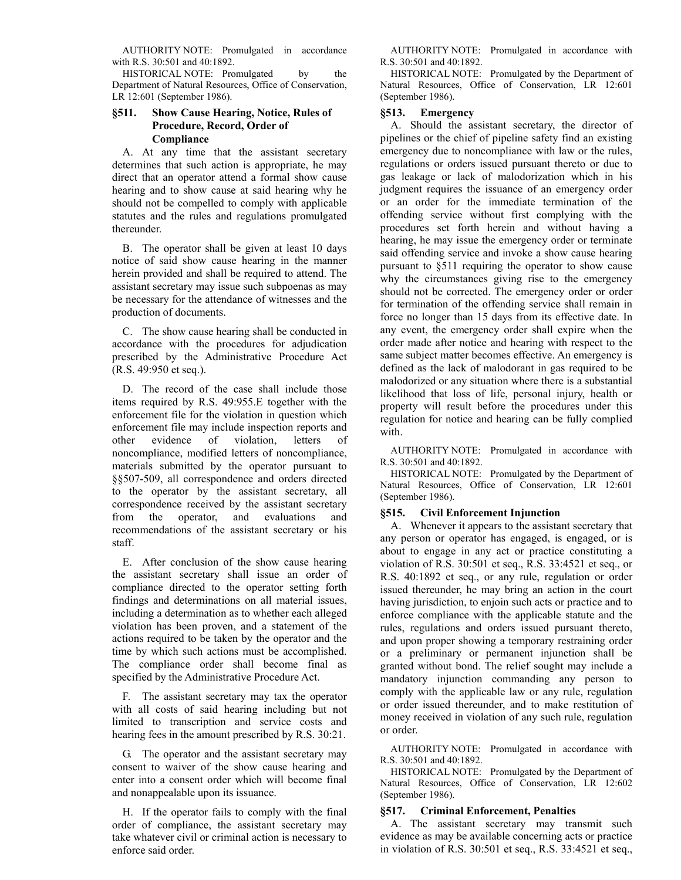AUTHORITY NOTE: Promulgated in accordance with R.S. 30:501 and 40:1892.

HISTORICAL NOTE: Promulgated by the Department of Natural Resources, Office of Conservation, LR 12:601 (September 1986).

# **§511. Show Cause Hearing, Notice, Rules of Procedure, Record, Order of Compliance**

A. At any time that the assistant secretary determines that such action is appropriate, he may direct that an operator attend a formal show cause hearing and to show cause at said hearing why he should not be compelled to comply with applicable statutes and the rules and regulations promulgated thereunder.

B. The operator shall be given at least 10 days notice of said show cause hearing in the manner herein provided and shall be required to attend. The assistant secretary may issue such subpoenas as may be necessary for the attendance of witnesses and the production of documents.

C. The show cause hearing shall be conducted in accordance with the procedures for adjudication prescribed by the Administrative Procedure Act (R.S. 49:950 et seq.).

D. The record of the case shall include those items required by R.S. 49:955.E together with the enforcement file for the violation in question which enforcement file may include inspection reports and other evidence of violation, letters of noncompliance, modified letters of noncompliance, materials submitted by the operator pursuant to §§507-509, all correspondence and orders directed to the operator by the assistant secretary, all correspondence received by the assistant secretary from the operator, and evaluations and recommendations of the assistant secretary or his staff.

E. After conclusion of the show cause hearing the assistant secretary shall issue an order of compliance directed to the operator setting forth findings and determinations on all material issues, including a determination as to whether each alleged violation has been proven, and a statement of the actions required to be taken by the operator and the time by which such actions must be accomplished. The compliance order shall become final as specified by the Administrative Procedure Act.

F. The assistant secretary may tax the operator with all costs of said hearing including but not limited to transcription and service costs and hearing fees in the amount prescribed by R.S. 30:21.

G. The operator and the assistant secretary may consent to waiver of the show cause hearing and enter into a consent order which will become final and nonappealable upon its issuance.

H. If the operator fails to comply with the final order of compliance, the assistant secretary may take whatever civil or criminal action is necessary to enforce said order.

AUTHORITY NOTE: Promulgated in accordance with R.S. 30:501 and 40:1892.

HISTORICAL NOTE: Promulgated by the Department of Natural Resources, Office of Conservation, LR 12:601 (September 1986).

## **§513. Emergency**

A. Should the assistant secretary, the director of pipelines or the chief of pipeline safety find an existing emergency due to noncompliance with law or the rules, regulations or orders issued pursuant thereto or due to gas leakage or lack of malodorization which in his judgment requires the issuance of an emergency order or an order for the immediate termination of the offending service without first complying with the procedures set forth herein and without having a hearing, he may issue the emergency order or terminate said offending service and invoke a show cause hearing pursuant to §511 requiring the operator to show cause why the circumstances giving rise to the emergency should not be corrected. The emergency order or order for termination of the offending service shall remain in force no longer than 15 days from its effective date. In any event, the emergency order shall expire when the order made after notice and hearing with respect to the same subject matter becomes effective. An emergency is defined as the lack of malodorant in gas required to be malodorized or any situation where there is a substantial likelihood that loss of life, personal injury, health or property will result before the procedures under this regulation for notice and hearing can be fully complied with.

AUTHORITY NOTE: Promulgated in accordance with R.S. 30:501 and 40:1892.

HISTORICAL NOTE: Promulgated by the Department of Natural Resources, Office of Conservation, LR 12:601 (September 1986).

### **§515. Civil Enforcement Injunction**

A. Whenever it appears to the assistant secretary that any person or operator has engaged, is engaged, or is about to engage in any act or practice constituting a violation of R.S. 30:501 et seq., R.S. 33:4521 et seq., or R.S. 40:1892 et seq., or any rule, regulation or order issued thereunder, he may bring an action in the court having jurisdiction, to enjoin such acts or practice and to enforce compliance with the applicable statute and the rules, regulations and orders issued pursuant thereto, and upon proper showing a temporary restraining order or a preliminary or permanent injunction shall be granted without bond. The relief sought may include a mandatory injunction commanding any person to comply with the applicable law or any rule, regulation or order issued thereunder, and to make restitution of money received in violation of any such rule, regulation or order.

AUTHORITY NOTE: Promulgated in accordance with R.S. 30:501 and 40:1892.

HISTORICAL NOTE: Promulgated by the Department of Natural Resources, Office of Conservation, LR 12:602 (September 1986).

### **§517. Criminal Enforcement, Penalties**

A. The assistant secretary may transmit such evidence as may be available concerning acts or practice in violation of R.S. 30:501 et seq., R.S. 33:4521 et seq.,